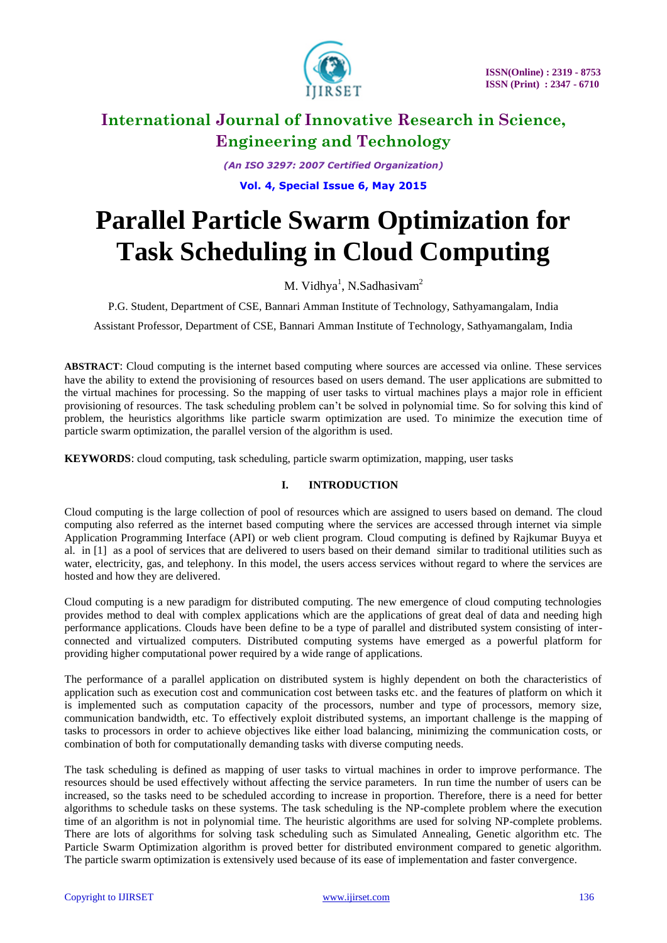

*(An ISO 3297: 2007 Certified Organization)*

**Vol. 4, Special Issue 6, May 2015**

# **Parallel Particle Swarm Optimization for Task Scheduling in Cloud Computing**

M. Vidhya<sup>1</sup>, N.Sadhasivam<sup>2</sup>

P.G. Student, Department of CSE, Bannari Amman Institute of Technology, Sathyamangalam, India

Assistant Professor, Department of CSE, Bannari Amman Institute of Technology, Sathyamangalam, India

**ABSTRACT**: Cloud computing is the internet based computing where sources are accessed via online. These services have the ability to extend the provisioning of resources based on users demand. The user applications are submitted to the virtual machines for processing. So the mapping of user tasks to virtual machines plays a major role in efficient provisioning of resources. The task scheduling problem can"t be solved in polynomial time. So for solving this kind of problem, the heuristics algorithms like particle swarm optimization are used. To minimize the execution time of particle swarm optimization, the parallel version of the algorithm is used.

**KEYWORDS**: cloud computing, task scheduling, particle swarm optimization, mapping, user tasks

## **I. INTRODUCTION**

Cloud computing is the large collection of pool of resources which are assigned to users based on demand. The cloud computing also referred as the internet based computing where the services are accessed through internet via simple Application Programming Interface (API) or web client program. Cloud computing is defined by Rajkumar Buyya et al. in [1] as a pool of services that are delivered to users based on their demand similar to traditional utilities such as water, electricity, gas, and telephony. In this model, the users access services without regard to where the services are hosted and how they are delivered.

Cloud computing is a new paradigm for distributed computing. The new emergence of cloud computing technologies provides method to deal with complex applications which are the applications of great deal of data and needing high performance applications. Clouds have been define to be a type of parallel and distributed system consisting of interconnected and virtualized computers. Distributed computing systems have emerged as a powerful platform for providing higher computational power required by a wide range of applications.

The performance of a parallel application on distributed system is highly dependent on both the characteristics of application such as execution cost and communication cost between tasks etc. and the features of platform on which it is implemented such as computation capacity of the processors, number and type of processors, memory size, communication bandwidth, etc. To effectively exploit distributed systems, an important challenge is the mapping of tasks to processors in order to achieve objectives like either load balancing, minimizing the communication costs, or combination of both for computationally demanding tasks with diverse computing needs.

The task scheduling is defined as mapping of user tasks to virtual machines in order to improve performance. The resources should be used effectively without affecting the service parameters. In run time the number of users can be increased, so the tasks need to be scheduled according to increase in proportion. Therefore, there is a need for better algorithms to schedule tasks on these systems. The task scheduling is the NP-complete problem where the execution time of an algorithm is not in polynomial time. The heuristic algorithms are used for solving NP-complete problems. There are lots of algorithms for solving task scheduling such as Simulated Annealing, Genetic algorithm etc. The Particle Swarm Optimization algorithm is proved better for distributed environment compared to genetic algorithm. The particle swarm optimization is extensively used because of its ease of implementation and faster convergence.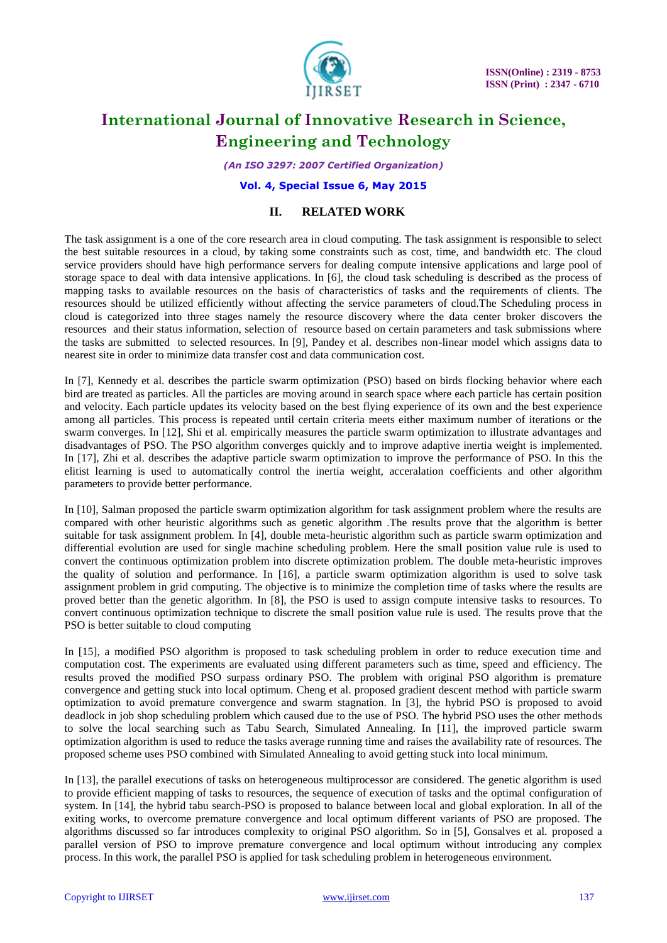

*(An ISO 3297: 2007 Certified Organization)*

### **Vol. 4, Special Issue 6, May 2015**

### **II. RELATED WORK**

The task assignment is a one of the core research area in cloud computing. The task assignment is responsible to select the best suitable resources in a cloud, by taking some constraints such as cost, time, and bandwidth etc. The cloud service providers should have high performance servers for dealing compute intensive applications and large pool of storage space to deal with data intensive applications. In [6], the cloud task scheduling is described as the process of mapping tasks to available resources on the basis of characteristics of tasks and the requirements of clients. The resources should be utilized efficiently without affecting the service parameters of cloud.The Scheduling process in cloud is categorized into three stages namely the resource discovery where the data center broker discovers the resources and their status information, selection of resource based on certain parameters and task submissions where the tasks are submitted to selected resources. In [9], Pandey et al. describes non-linear model which assigns data to nearest site in order to minimize data transfer cost and data communication cost.

In [7], Kennedy et al. describes the particle swarm optimization (PSO) based on birds flocking behavior where each bird are treated as particles. All the particles are moving around in search space where each particle has certain position and velocity. Each particle updates its velocity based on the best flying experience of its own and the best experience among all particles. This process is repeated until certain criteria meets either maximum number of iterations or the swarm converges. In [12], Shi et al. empirically measures the particle swarm optimization to illustrate advantages and disadvantages of PSO. The PSO algorithm converges quickly and to improve adaptive inertia weight is implemented. In [17], Zhi et al. describes the adaptive particle swarm optimization to improve the performance of PSO. In this the elitist learning is used to automatically control the inertia weight, acceralation coefficients and other algorithm parameters to provide better performance.

In [10], Salman proposed the particle swarm optimization algorithm for task assignment problem where the results are compared with other heuristic algorithms such as genetic algorithm .The results prove that the algorithm is better suitable for task assignment problem. In [4], double meta-heuristic algorithm such as particle swarm optimization and differential evolution are used for single machine scheduling problem. Here the small position value rule is used to convert the continuous optimization problem into discrete optimization problem. The double meta-heuristic improves the quality of solution and performance. In [16], a particle swarm optimization algorithm is used to solve task assignment problem in grid computing. The objective is to minimize the completion time of tasks where the results are proved better than the genetic algorithm. In [8], the PSO is used to assign compute intensive tasks to resources. To convert continuous optimization technique to discrete the small position value rule is used. The results prove that the PSO is better suitable to cloud computing

In [15], a modified PSO algorithm is proposed to task scheduling problem in order to reduce execution time and computation cost. The experiments are evaluated using different parameters such as time, speed and efficiency. The results proved the modified PSO surpass ordinary PSO. The problem with original PSO algorithm is premature convergence and getting stuck into local optimum. Cheng et al. proposed gradient descent method with particle swarm optimization to avoid premature convergence and swarm stagnation. In [3], the hybrid PSO is proposed to avoid deadlock in job shop scheduling problem which caused due to the use of PSO. The hybrid PSO uses the other methods to solve the local searching such as Tabu Search, Simulated Annealing. In [11], the improved particle swarm optimization algorithm is used to reduce the tasks average running time and raises the availability rate of resources. The proposed scheme uses PSO combined with Simulated Annealing to avoid getting stuck into local minimum.

In [13], the parallel executions of tasks on heterogeneous multiprocessor are considered. The genetic algorithm is used to provide efficient mapping of tasks to resources, the sequence of execution of tasks and the optimal configuration of system. In [14], the hybrid tabu search-PSO is proposed to balance between local and global exploration. In all of the exiting works, to overcome premature convergence and local optimum different variants of PSO are proposed. The algorithms discussed so far introduces complexity to original PSO algorithm. So in [5], Gonsalves et al. proposed a parallel version of PSO to improve premature convergence and local optimum without introducing any complex process. In this work, the parallel PSO is applied for task scheduling problem in heterogeneous environment.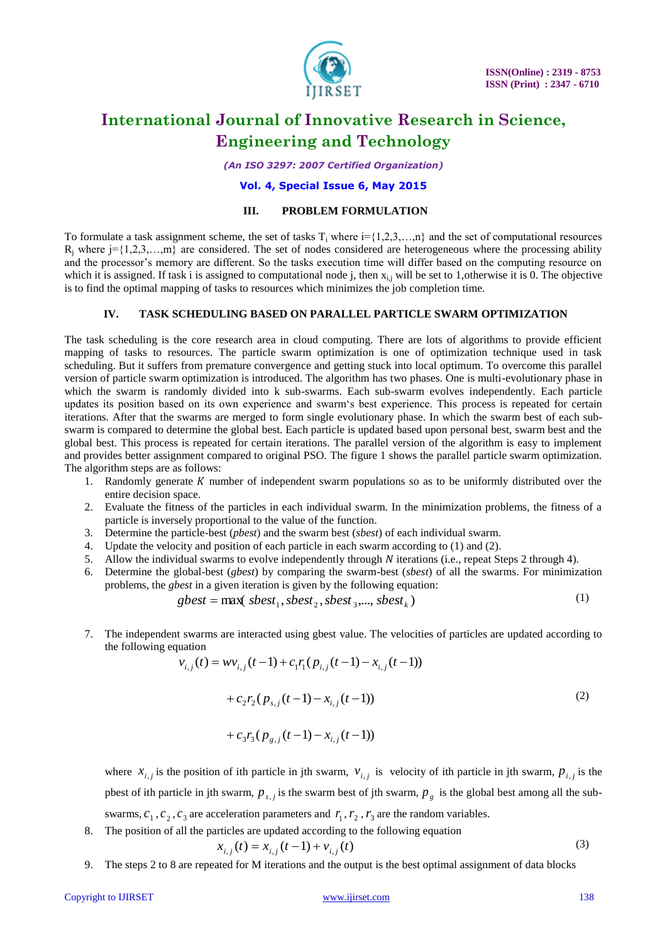

*(An ISO 3297: 2007 Certified Organization)*

### **Vol. 4, Special Issue 6, May 2015**

#### **III. PROBLEM FORMULATION**

To formulate a task assignment scheme, the set of tasks  $T_i$  where  $i = \{1,2,3,...,n\}$  and the set of computational resources  $R_i$  where  $j = \{1,2,3,...,m\}$  are considered. The set of nodes considered are heterogeneous where the processing ability and the processor's memory are different. So the tasks execution time will differ based on the computing resource on which it is assigned. If task i is assigned to computational node j, then  $x_{i,j}$  will be set to 1,otherwise it is 0. The objective is to find the optimal mapping of tasks to resources which minimizes the job completion time.

#### **IV. TASK SCHEDULING BASED ON PARALLEL PARTICLE SWARM OPTIMIZATION**

The task scheduling is the core research area in cloud computing. There are lots of algorithms to provide efficient mapping of tasks to resources. The particle swarm optimization is one of optimization technique used in task scheduling. But it suffers from premature convergence and getting stuck into local optimum. To overcome this parallel version of particle swarm optimization is introduced. The algorithm has two phases. One is multi-evolutionary phase in which the swarm is randomly divided into k sub-swarms. Each sub-swarm evolves independently. Each particle updates its position based on its own experience and swarm"s best experience. This process is repeated for certain iterations. After that the swarms are merged to form single evolutionary phase. In which the swarm best of each subswarm is compared to determine the global best. Each particle is updated based upon personal best, swarm best and the global best. This process is repeated for certain iterations. The parallel version of the algorithm is easy to implement and provides better assignment compared to original PSO. The figure 1 shows the parallel particle swarm optimization. The algorithm steps are as follows:

- 1. Randomly generate  $K$  number of independent swarm populations so as to be uniformly distributed over the entire decision space.
- 2. Evaluate the fitness of the particles in each individual swarm. In the minimization problems, the fitness of a particle is inversely proportional to the value of the function.
- 3. Determine the particle-best (*pbest*) and the swarm best (*sbest*) of each individual swarm.
- 4. Update the velocity and position of each particle in each swarm according to (1) and (2).
- 5. Allow the individual swarms to evolve independently through  $N$  iterations (i.e., repeat Steps 2 through 4).
- 6. Determine the global-best (*gbest*) by comparing the swarm-best (*sbest*) of all the swarms. For minimization problems, the *gbest* in a given iteration is given by the following equation:

$$
gbest = \max(\ sbest_1, sbest_2, sbest_3, \dots, sbest_k)
$$
 (1)

7. The independent swarms are interacted using gbest value. The velocities of particles are updated according to the following equation

$$
v_{i,j}(t) = w v_{i,j}(t-1) + c_1 r_1 (p_{i,j}(t-1) - x_{i,j}(t-1))
$$
  
+ 
$$
c_2 r_2 (p_{s,j}(t-1) - x_{i,j}(t-1))
$$
 (2)

$$
+ c_3 r_3 (p_{g,j}(t-1) - x_{i,j}(t-1))
$$

where  $x_{i,j}$  is the position of ith particle in jth swarm,  $v_{i,j}$  is velocity of ith particle in jth swarm,  $p_{i,j}$  is the pbest of ith particle in jth swarm,  $p_{s,j}$  is the swarm best of jth swarm,  $p_g$  is the global best among all the subswarms,  $c_1$ ,  $c_2$ ,  $c_3$  are acceleration parameters and  $r_1$ ,  $r_2$ ,  $r_3$  are the random variables.

8. The position of all the particles are updated according to the following equation

$$
x_{i,j}(t) = x_{i,j}(t-1) + v_{i,j}(t)
$$
\n(3)

9. The steps 2 to 8 are repeated for M iterations and the output is the best optimal assignment of data blocks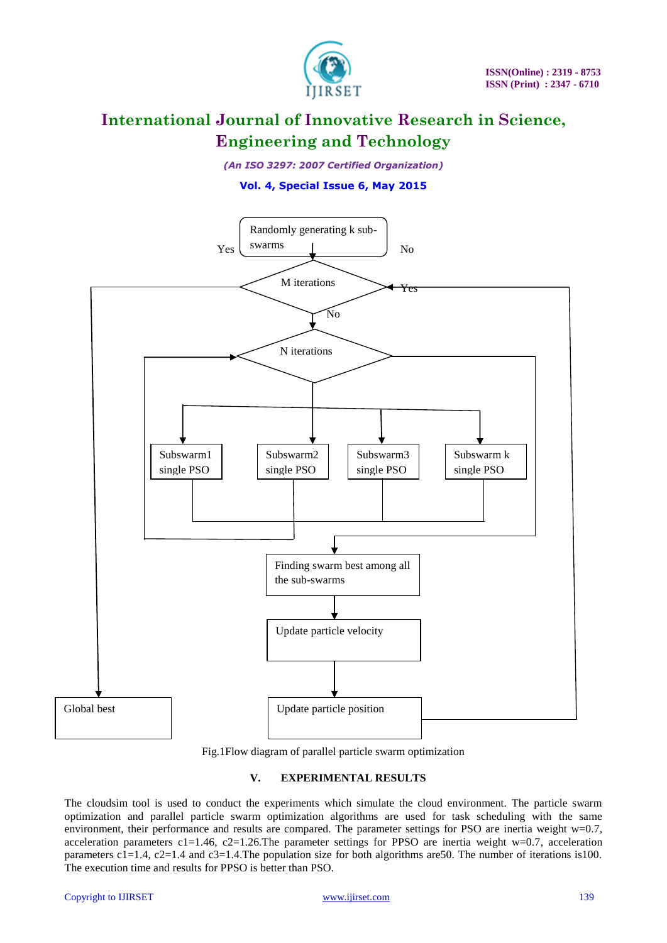

*(An ISO 3297: 2007 Certified Organization)*

## **Vol. 4, Special Issue 6, May 2015**



Fig.1Flow diagram of parallel particle swarm optimization

### **V. EXPERIMENTAL RESULTS**

The cloudsim tool is used to conduct the experiments which simulate the cloud environment. The particle swarm optimization and parallel particle swarm optimization algorithms are used for task scheduling with the same environment, their performance and results are compared. The parameter settings for PSO are inertia weight w=0.7, acceleration parameters  $c1=1.46$ ,  $c2=1.26$ . The parameter settings for PPSO are inertia weight w=0.7, acceleration parameters  $c1=1.4$ ,  $c2=1.4$  and  $c3=1.4$ . The population size for both algorithms are 50. The number of iterations is 100. The execution time and results for PPSO is better than PSO.